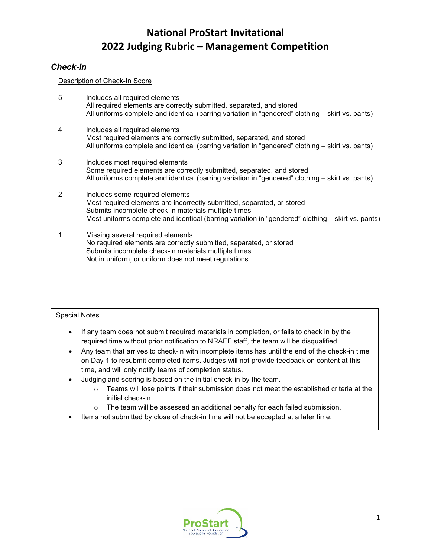# *Check-In*

Description of Check-In Score

- 5 Includes all required elements All required elements are correctly submitted, separated, and stored All uniforms complete and identical (barring variation in "gendered" clothing – skirt vs. pants)
- 4 Includes all required elements Most required elements are correctly submitted, separated, and stored All uniforms complete and identical (barring variation in "gendered" clothing – skirt vs. pants)
- 3 Includes most required elements Some required elements are correctly submitted, separated, and stored All uniforms complete and identical (barring variation in "gendered" clothing – skirt vs. pants)
- 2 Includes some required elements Most required elements are incorrectly submitted, separated, or stored Submits incomplete check-in materials multiple times Most uniforms complete and identical (barring variation in "gendered" clothing – skirt vs. pants)
- 1 Missing several required elements No required elements are correctly submitted, separated, or stored Submits incomplete check-in materials multiple times Not in uniform, or uniform does not meet regulations

## Special Notes

- If any team does not submit required materials in completion, or fails to check in by the required time without prior notification to NRAEF staff, the team will be disqualified.
- Any team that arrives to check-in with incomplete items has until the end of the check-in time on Day 1 to resubmit completed items. Judges will not provide feedback on content at this time, and will only notify teams of completion status.
- Judging and scoring is based on the initial check-in by the team.
	- $\circ$  Teams will lose points if their submission does not meet the established criteria at the initial check-in.
	- $\circ$  The team will be assessed an additional penalty for each failed submission.
- Items not submitted by close of check-in time will not be accepted at a later time.

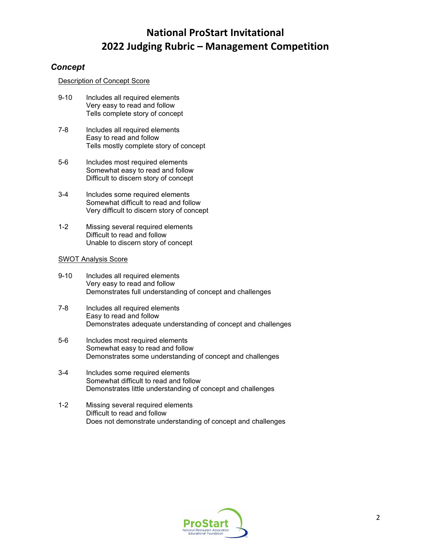# *Concept*

## Description of Concept Score

- 9-10 Includes all required elements Very easy to read and follow Tells complete story of concept
- 7-8 Includes all required elements Easy to read and follow Tells mostly complete story of concept
- 5-6 Includes most required elements Somewhat easy to read and follow Difficult to discern story of concept
- 3-4 Includes some required elements Somewhat difficult to read and follow Very difficult to discern story of concept
- 1-2 Missing several required elements Difficult to read and follow Unable to discern story of concept

### SWOT Analysis Score

- 9-10 Includes all required elements Very easy to read and follow Demonstrates full understanding of concept and challenges
- 7-8 Includes all required elements Easy to read and follow Demonstrates adequate understanding of concept and challenges
- 5-6 Includes most required elements Somewhat easy to read and follow Demonstrates some understanding of concept and challenges
- 3-4 Includes some required elements Somewhat difficult to read and follow Demonstrates little understanding of concept and challenges
- 1-2 Missing several required elements Difficult to read and follow Does not demonstrate understanding of concept and challenges

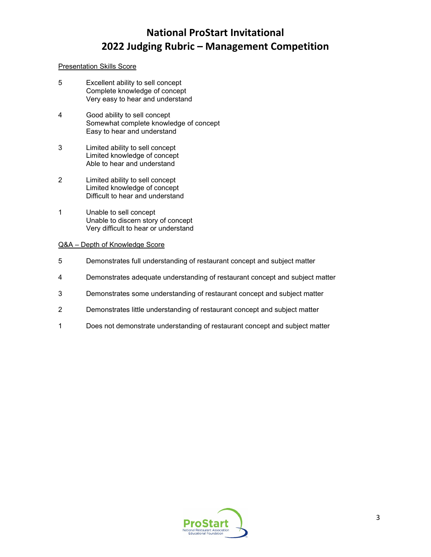### Presentation Skills Score

- 5 Excellent ability to sell concept Complete knowledge of concept Very easy to hear and understand
- 4 Good ability to sell concept Somewhat complete knowledge of concept Easy to hear and understand
- 3 Limited ability to sell concept Limited knowledge of concept Able to hear and understand
- 2 Limited ability to sell concept Limited knowledge of concept Difficult to hear and understand
- 1 Unable to sell concept Unable to discern story of concept Very difficult to hear or understand

#### Q&A – Depth of Knowledge Score

- 5 Demonstrates full understanding of restaurant concept and subject matter
- 4 Demonstrates adequate understanding of restaurant concept and subject matter
- 3 Demonstrates some understanding of restaurant concept and subject matter
- 2 Demonstrates little understanding of restaurant concept and subject matter
- 1 Does not demonstrate understanding of restaurant concept and subject matter

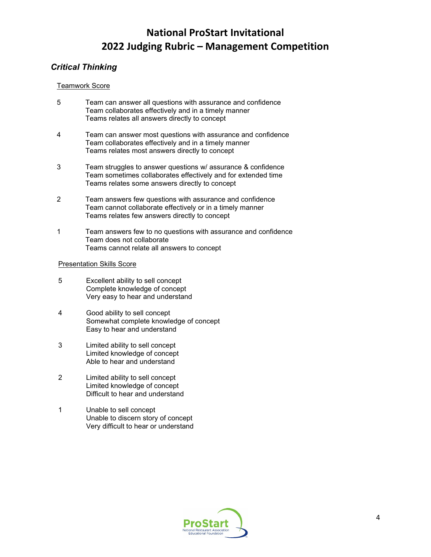# *Critical Thinking*

## Teamwork Score

- 5 Team can answer all questions with assurance and confidence Team collaborates effectively and in a timely manner Teams relates all answers directly to concept
- 4 Team can answer most questions with assurance and confidence Team collaborates effectively and in a timely manner Teams relates most answers directly to concept
- 3 Team struggles to answer questions w/ assurance & confidence Team sometimes collaborates effectively and for extended time Teams relates some answers directly to concept
- 2 Team answers few questions with assurance and confidence Team cannot collaborate effectively or in a timely manner Teams relates few answers directly to concept
- 1 Team answers few to no questions with assurance and confidence Team does not collaborate Teams cannot relate all answers to concept

## Presentation Skills Score

- 5 Excellent ability to sell concept Complete knowledge of concept Very easy to hear and understand
- 4 Good ability to sell concept Somewhat complete knowledge of concept Easy to hear and understand
- 3 Limited ability to sell concept Limited knowledge of concept Able to hear and understand
- 2 Limited ability to sell concept Limited knowledge of concept Difficult to hear and understand
- 1 Unable to sell concept Unable to discern story of concept Very difficult to hear or understand

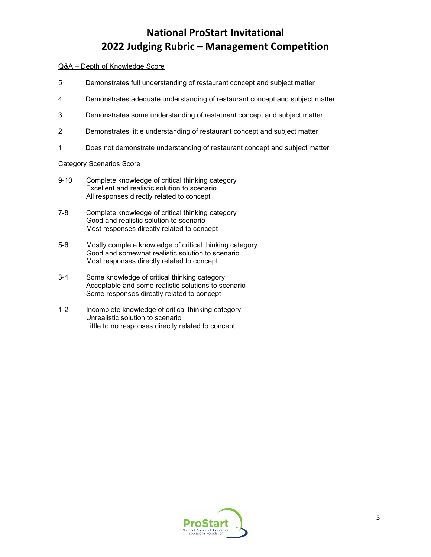## Q&A – Depth of Knowledge Score

- 5 Demonstrates full understanding of restaurant concept and subject matter
- 4 Demonstrates adequate understanding of restaurant concept and subject matter
- 3 Demonstrates some understanding of restaurant concept and subject matter
- 2 Demonstrates little understanding of restaurant concept and subject matter
- 1 Does not demonstrate understanding of restaurant concept and subject matter

#### Category Scenarios Score

- 9-10 Complete knowledge of critical thinking category Excellent and realistic solution to scenario All responses directly related to concept
- 7-8 Complete knowledge of critical thinking category Good and realistic solution to scenario Most responses directly related to concept
- 5-6 Mostly complete knowledge of critical thinking category Good and somewhat realistic solution to scenario Most responses directly related to concept
- 3-4 Some knowledge of critical thinking category Acceptable and some realistic solutions to scenario Some responses directly related to concept
- 1-2 Incomplete knowledge of critical thinking category Unrealistic solution to scenario Little to no responses directly related to concept

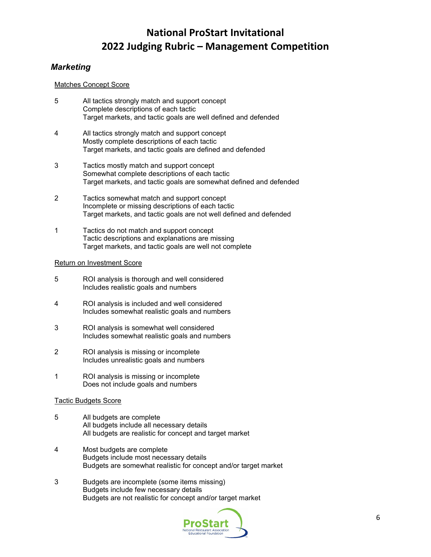# *Marketing*

## Matches Concept Score

- 5 All tactics strongly match and support concept Complete descriptions of each tactic Target markets, and tactic goals are well defined and defended
- 4 All tactics strongly match and support concept Mostly complete descriptions of each tactic Target markets, and tactic goals are defined and defended
- 3 Tactics mostly match and support concept Somewhat complete descriptions of each tactic Target markets, and tactic goals are somewhat defined and defended
- 2 Tactics somewhat match and support concept Incomplete or missing descriptions of each tactic Target markets, and tactic goals are not well defined and defended
- 1 Tactics do not match and support concept Tactic descriptions and explanations are missing Target markets, and tactic goals are well not complete

## Return on Investment Score

- 5 ROI analysis is thorough and well considered Includes realistic goals and numbers
- 4 ROI analysis is included and well considered Includes somewhat realistic goals and numbers
- 3 ROI analysis is somewhat well considered Includes somewhat realistic goals and numbers
- 2 ROI analysis is missing or incomplete Includes unrealistic goals and numbers
- 1 ROI analysis is missing or incomplete Does not include goals and numbers

## Tactic Budgets Score

- 5 All budgets are complete All budgets include all necessary details All budgets are realistic for concept and target market
- 4 Most budgets are complete Budgets include most necessary details Budgets are somewhat realistic for concept and/or target market
- 3 Budgets are incomplete (some items missing) Budgets include few necessary details Budgets are not realistic for concept and/or target market

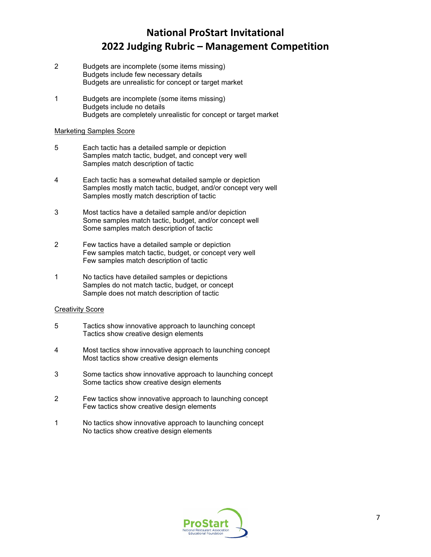- 2 Budgets are incomplete (some items missing) Budgets include few necessary details Budgets are unrealistic for concept or target market
- 1 Budgets are incomplete (some items missing) Budgets include no details Budgets are completely unrealistic for concept or target market

### Marketing Samples Score

- 5 Each tactic has a detailed sample or depiction Samples match tactic, budget, and concept very well Samples match description of tactic
- 4 Each tactic has a somewhat detailed sample or depiction Samples mostly match tactic, budget, and/or concept very well Samples mostly match description of tactic
- 3 Most tactics have a detailed sample and/or depiction Some samples match tactic, budget, and/or concept well Some samples match description of tactic
- 2 Few tactics have a detailed sample or depiction Few samples match tactic, budget, or concept very well Few samples match description of tactic
- 1 No tactics have detailed samples or depictions Samples do not match tactic, budget, or concept Sample does not match description of tactic

## **Creativity Score**

- 5 Tactics show innovative approach to launching concept Tactics show creative design elements
- 4 Most tactics show innovative approach to launching concept Most tactics show creative design elements
- 3 Some tactics show innovative approach to launching concept Some tactics show creative design elements
- 2 Few tactics show innovative approach to launching concept Few tactics show creative design elements
- 1 No tactics show innovative approach to launching concept No tactics show creative design elements

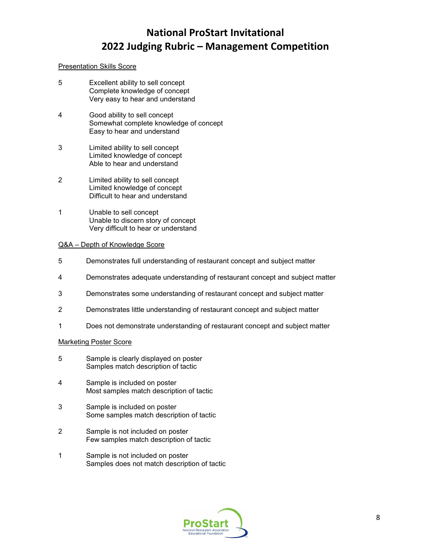## Presentation Skills Score

- 5 Excellent ability to sell concept Complete knowledge of concept Very easy to hear and understand
- 4 Good ability to sell concept Somewhat complete knowledge of concept Easy to hear and understand
- 3 Limited ability to sell concept Limited knowledge of concept Able to hear and understand
- 2 Limited ability to sell concept Limited knowledge of concept Difficult to hear and understand
- 1 Unable to sell concept Unable to discern story of concept Very difficult to hear or understand

#### Q&A – Depth of Knowledge Score

- 5 Demonstrates full understanding of restaurant concept and subject matter
- 4 Demonstrates adequate understanding of restaurant concept and subject matter
- 3 Demonstrates some understanding of restaurant concept and subject matter
- 2 Demonstrates little understanding of restaurant concept and subject matter
- 1 Does not demonstrate understanding of restaurant concept and subject matter

#### Marketing Poster Score

- 5 Sample is clearly displayed on poster Samples match description of tactic
- 4 Sample is included on poster Most samples match description of tactic
- 3 Sample is included on poster Some samples match description of tactic
- 2 Sample is not included on poster Few samples match description of tactic
- 1 Sample is not included on poster Samples does not match description of tactic

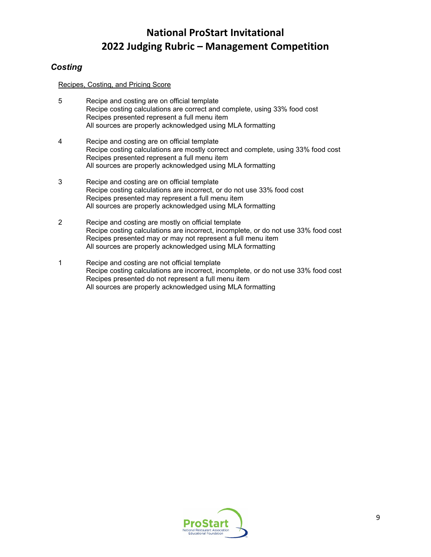# *Costing*

Recipes, Costing, and Pricing Score

- 5 Recipe and costing are on official template Recipe costing calculations are correct and complete, using 33% food cost Recipes presented represent a full menu item All sources are properly acknowledged using MLA formatting
- 4 Recipe and costing are on official template Recipe costing calculations are mostly correct and complete, using 33% food cost Recipes presented represent a full menu item All sources are properly acknowledged using MLA formatting
- 3 Recipe and costing are on official template Recipe costing calculations are incorrect, or do not use 33% food cost Recipes presented may represent a full menu item All sources are properly acknowledged using MLA formatting
- 2 Recipe and costing are mostly on official template Recipe costing calculations are incorrect, incomplete, or do not use 33% food cost Recipes presented may or may not represent a full menu item All sources are properly acknowledged using MLA formatting
- 1 Recipe and costing are not official template Recipe costing calculations are incorrect, incomplete, or do not use 33% food cost Recipes presented do not represent a full menu item All sources are properly acknowledged using MLA formatting

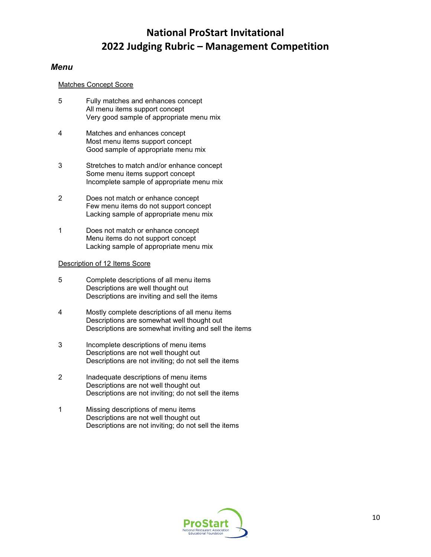## *Menu*

#### Matches Concept Score

- 5 Fully matches and enhances concept All menu items support concept Very good sample of appropriate menu mix
- 4 Matches and enhances concept Most menu items support concept Good sample of appropriate menu mix
- 3 Stretches to match and/or enhance concept Some menu items support concept Incomplete sample of appropriate menu mix
- 2 Does not match or enhance concept Few menu items do not support concept Lacking sample of appropriate menu mix
- 1 Does not match or enhance concept Menu items do not support concept Lacking sample of appropriate menu mix

## Description of 12 Items Score

- 5 Complete descriptions of all menu items Descriptions are well thought out Descriptions are inviting and sell the items
- 4 Mostly complete descriptions of all menu items Descriptions are somewhat well thought out Descriptions are somewhat inviting and sell the items
- 3 Incomplete descriptions of menu items Descriptions are not well thought out Descriptions are not inviting; do not sell the items
- 2 Inadequate descriptions of menu items Descriptions are not well thought out Descriptions are not inviting; do not sell the items
- 1 Missing descriptions of menu items Descriptions are not well thought out Descriptions are not inviting; do not sell the items

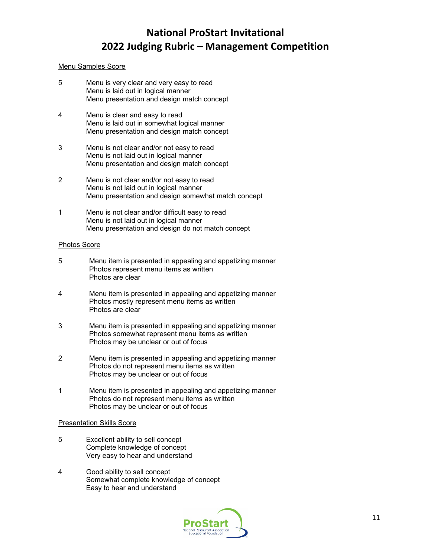### Menu Samples Score

- 5 Menu is very clear and very easy to read Menu is laid out in logical manner Menu presentation and design match concept
- 4 Menu is clear and easy to read Menu is laid out in somewhat logical manner Menu presentation and design match concept
- 3 Menu is not clear and/or not easy to read Menu is not laid out in logical manner Menu presentation and design match concept
- 2 Menu is not clear and/or not easy to read Menu is not laid out in logical manner Menu presentation and design somewhat match concept
- 1 Menu is not clear and/or difficult easy to read Menu is not laid out in logical manner Menu presentation and design do not match concept

#### Photos Score

- 5 Menu item is presented in appealing and appetizing manner Photos represent menu items as written Photos are clear
- 4 Menu item is presented in appealing and appetizing manner Photos mostly represent menu items as written Photos are clear
- 3 Menu item is presented in appealing and appetizing manner Photos somewhat represent menu items as written Photos may be unclear or out of focus
- 2 Menu item is presented in appealing and appetizing manner Photos do not represent menu items as written Photos may be unclear or out of focus
- 1 Menu item is presented in appealing and appetizing manner Photos do not represent menu items as written Photos may be unclear or out of focus

#### Presentation Skills Score

- 5 Excellent ability to sell concept Complete knowledge of concept Very easy to hear and understand
- 4 Good ability to sell concept Somewhat complete knowledge of concept Easy to hear and understand

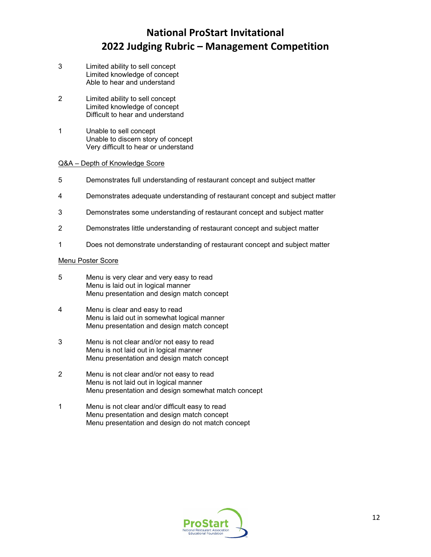- 3 Limited ability to sell concept Limited knowledge of concept Able to hear and understand
- 2 Limited ability to sell concept Limited knowledge of concept Difficult to hear and understand
- 1 Unable to sell concept Unable to discern story of concept Very difficult to hear or understand

#### Q&A – Depth of Knowledge Score

- 5 Demonstrates full understanding of restaurant concept and subject matter
- 4 Demonstrates adequate understanding of restaurant concept and subject matter
- 3 Demonstrates some understanding of restaurant concept and subject matter
- 2 Demonstrates little understanding of restaurant concept and subject matter
- 1 Does not demonstrate understanding of restaurant concept and subject matter

#### Menu Poster Score

- 5 Menu is very clear and very easy to read Menu is laid out in logical manner Menu presentation and design match concept
- 4 Menu is clear and easy to read Menu is laid out in somewhat logical manner Menu presentation and design match concept
- 3 Menu is not clear and/or not easy to read Menu is not laid out in logical manner Menu presentation and design match concept
- 2 Menu is not clear and/or not easy to read Menu is not laid out in logical manner Menu presentation and design somewhat match concept
- 1 Menu is not clear and/or difficult easy to read Menu presentation and design match concept Menu presentation and design do not match concept

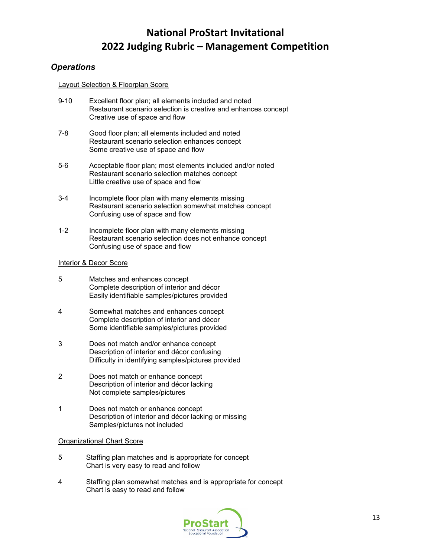# *Operations*

### Layout Selection & Floorplan Score

- 9-10 Excellent floor plan; all elements included and noted Restaurant scenario selection is creative and enhances concept Creative use of space and flow
- 7-8 Good floor plan; all elements included and noted Restaurant scenario selection enhances concept Some creative use of space and flow
- 5-6 Acceptable floor plan; most elements included and/or noted Restaurant scenario selection matches concept Little creative use of space and flow
- 3-4 Incomplete floor plan with many elements missing Restaurant scenario selection somewhat matches concept Confusing use of space and flow
- 1-2 Incomplete floor plan with many elements missing Restaurant scenario selection does not enhance concept Confusing use of space and flow

## Interior & Decor Score

- 5 Matches and enhances concept Complete description of interior and décor Easily identifiable samples/pictures provided
- 4 Somewhat matches and enhances concept Complete description of interior and décor Some identifiable samples/pictures provided
- 3 Does not match and/or enhance concept Description of interior and décor confusing Difficulty in identifying samples/pictures provided
- 2 Does not match or enhance concept Description of interior and décor lacking Not complete samples/pictures
- 1 Does not match or enhance concept Description of interior and décor lacking or missing Samples/pictures not included

## Organizational Chart Score

- 5 Staffing plan matches and is appropriate for concept Chart is very easy to read and follow
- 4 Staffing plan somewhat matches and is appropriate for concept Chart is easy to read and follow